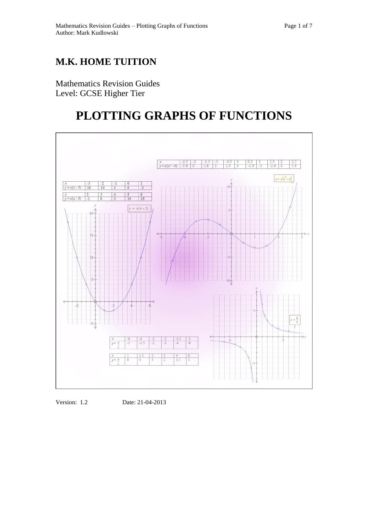# **M.K. HOME TUITION**

Mathematics Revision Guides Level: GCSE Higher Tier

# **PLOTTING GRAPHS OF FUNCTIONS**



Version: 1.2 Date: 21-04-2013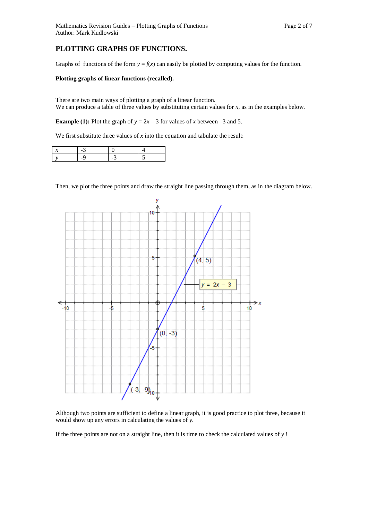## **PLOTTING GRAPHS OF FUNCTIONS.**

Graphs of functions of the form  $y = f(x)$  can easily be plotted by computing values for the function.

### **Plotting graphs of linear functions (recalled).**

There are two main ways of plotting a graph of a linear function. We can produce a table of three values by substituting certain values for *x*, as in the examples below.

**Example (1):** Plot the graph of  $y = 2x - 3$  for values of *x* between –3 and 5.

We first substitute three values of *x* into the equation and tabulate the result:

Then, we plot the three points and draw the straight line passing through them, as in the diagram below.



Although two points are sufficient to define a linear graph, it is good practice to plot three, because it would show up any errors in calculating the values of *y.*

If the three points are not on a straight line, then it is time to check the calculated values of *y* !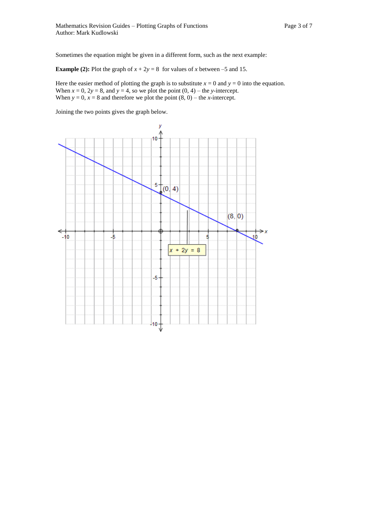Sometimes the equation might be given in a different form, such as the next example:

**Example (2):** Plot the graph of  $x + 2y = 8$  for values of *x* between –5 and 15.

Here the easier method of plotting the graph is to substitute  $x = 0$  and  $y = 0$  into the equation. When  $x = 0$ ,  $2y = 8$ , and  $y = 4$ , so we plot the point  $(0, 4)$  – the *y*-intercept. When  $y = 0$ ,  $x = 8$  and therefore we plot the point  $(8, 0)$  – the *x*-intercept.

Joining the two points gives the graph below.

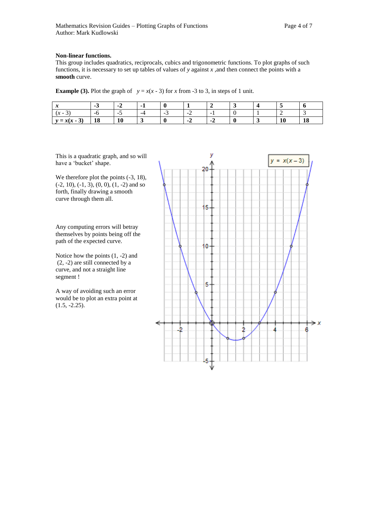#### **Non-linear functions.**

This group includes quadratics, reciprocals, cubics and trigonometric functions. To plot graphs of such functions, it is necessary to set up tables of values of *y* against *x* ,and then connect the points with a **smooth** curve.

| <b>Example (3).</b> Plot the graph of $y = x(x - 3)$ for x from -3 to 3, in steps of 1 unit. |  |  |  |
|----------------------------------------------------------------------------------------------|--|--|--|
|----------------------------------------------------------------------------------------------|--|--|--|

| $\sim$<br>∼                 |     | $-2$   |    |     |                |    | $\sim$ |        |    |
|-----------------------------|-----|--------|----|-----|----------------|----|--------|--------|----|
| $\mathbf{A}$<br>$\lambda$ - | - 1 | $\sim$ | -4 | . . | $\sim$<br>-    | -- |        | -      |    |
| $y = x(x -$<br>ູບ           | 18  | πv     | ູ  |     | $\blacksquare$ |    | v      | <br>πv | 18 |

This is a quadratic graph, and so will have a 'bucket' shape.

We therefore plot the points  $(-3, 18)$ , (-2, 10), (-1, 3), (0, 0), (1, -2) and so forth, finally drawing a smooth curve through them all.

Any computing errors will betray themselves by points being off the path of the expected curve.

Notice how the points (1, -2) and (2, -2) are still connected by a curve, and not a straight line segment !

A way of avoiding such an error would be to plot an extra point at (1.5, -2.25).

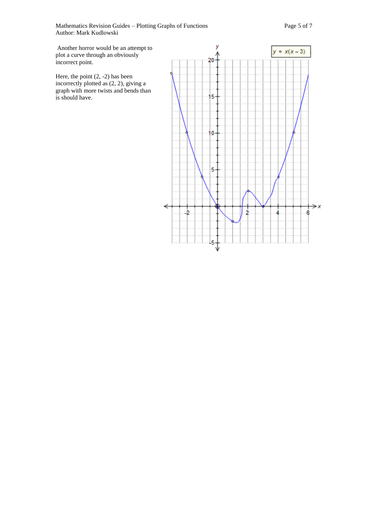Mathematics Revision Guides – Plotting Graphs of Functions Page 5 of 7 Author: Mark Kudlowski

Another horror would be an attempt to plot a curve through an obviously incorrect point.

Here, the point (2, -2) has been incorrectly plotted as (2, 2), giving a graph with more twists and bends than is should have.

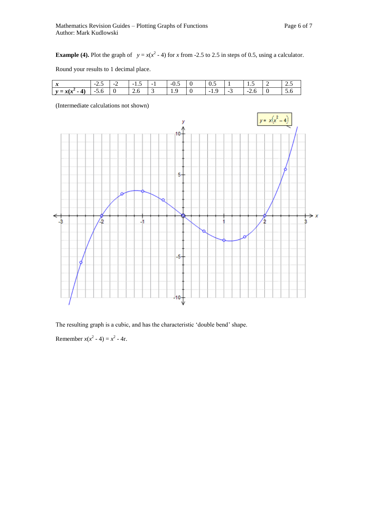**Example** (4). Plot the graph of  $y = x(x^2 - 4)$  for *x* from -2.5 to 2.5 in steps of 0.5, using a calculator.

Round your results to 1 decimal place.

| $\sim$<br>∼                                                       | $\sim$<br>ر…              | $\sim$ | - -<br>$\cdot$        | - 1 | --<br>ึับ | $\mathsf{v}\mathsf{v}$ |             | <b>1.J</b>    | - | ر . ب                                       |
|-------------------------------------------------------------------|---------------------------|--------|-----------------------|-----|-----------|------------------------|-------------|---------------|---|---------------------------------------------|
| $\mathbf{A}$<br><b>301.30</b><br>--<br>$- \lambda \lambda$<br>. . | $\sim$<br>$\cup$ . $\cup$ | ◡      | -<br>$\mathcal{L}$ .0 | ຼ   |           | $-1$<br>.              | $\sim$<br>້ | $\sim$<br>ں.∠ | ◡ | $\overline{\phantom{0}}$<br>$\cup$ . $\cup$ |

(Intermediate calculations not shown)



The resulting graph is a cubic, and has the characteristic 'double bend' shape.

Remember  $x(x^2 - 4) = x^2 - 4r$ .